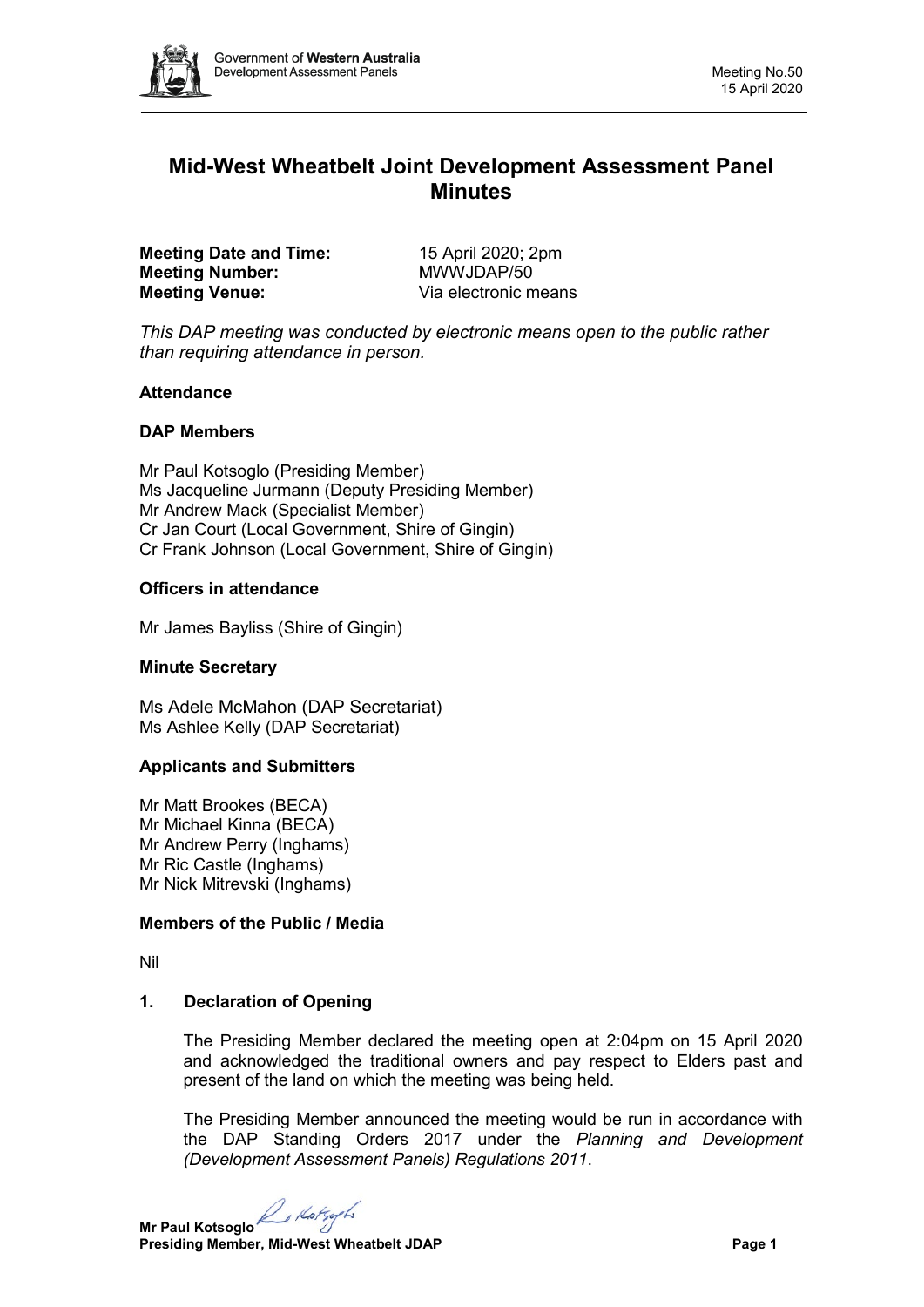

# **Mid-West Wheatbelt Joint Development Assessment Panel Minutes**

**Meeting Date and Time:** 15 April 2020; 2pm<br> **Meeting Number:** MWWJDAP/50 **Meeting Number: Meeting Venue:** Via electronic means

*This DAP meeting was conducted by electronic means open to the public rather than requiring attendance in person.*

## **Attendance**

## **DAP Members**

Mr Paul Kotsoglo (Presiding Member) Ms Jacqueline Jurmann (Deputy Presiding Member) Mr Andrew Mack (Specialist Member) Cr Jan Court (Local Government, Shire of Gingin) Cr Frank Johnson (Local Government, Shire of Gingin)

## **Officers in attendance**

Mr James Bayliss (Shire of Gingin)

#### **Minute Secretary**

Ms Adele McMahon (DAP Secretariat) Ms Ashlee Kelly (DAP Secretariat)

#### **Applicants and Submitters**

Mr Matt Brookes (BECA) Mr Michael Kinna (BECA) Mr Andrew Perry (Inghams) Mr Ric Castle (Inghams) Mr Nick Mitrevski (Inghams)

# **Members of the Public / Media**

Nil

# **1. Declaration of Opening**

The Presiding Member declared the meeting open at 2:04pm on 15 April 2020 and acknowledged the traditional owners and pay respect to Elders past and present of the land on which the meeting was being held.

The Presiding Member announced the meeting would be run in accordance with the DAP Standing Orders 2017 under the *Planning and Development (Development Assessment Panels) Regulations 2011*.

**Mr Paul Kotsoglo**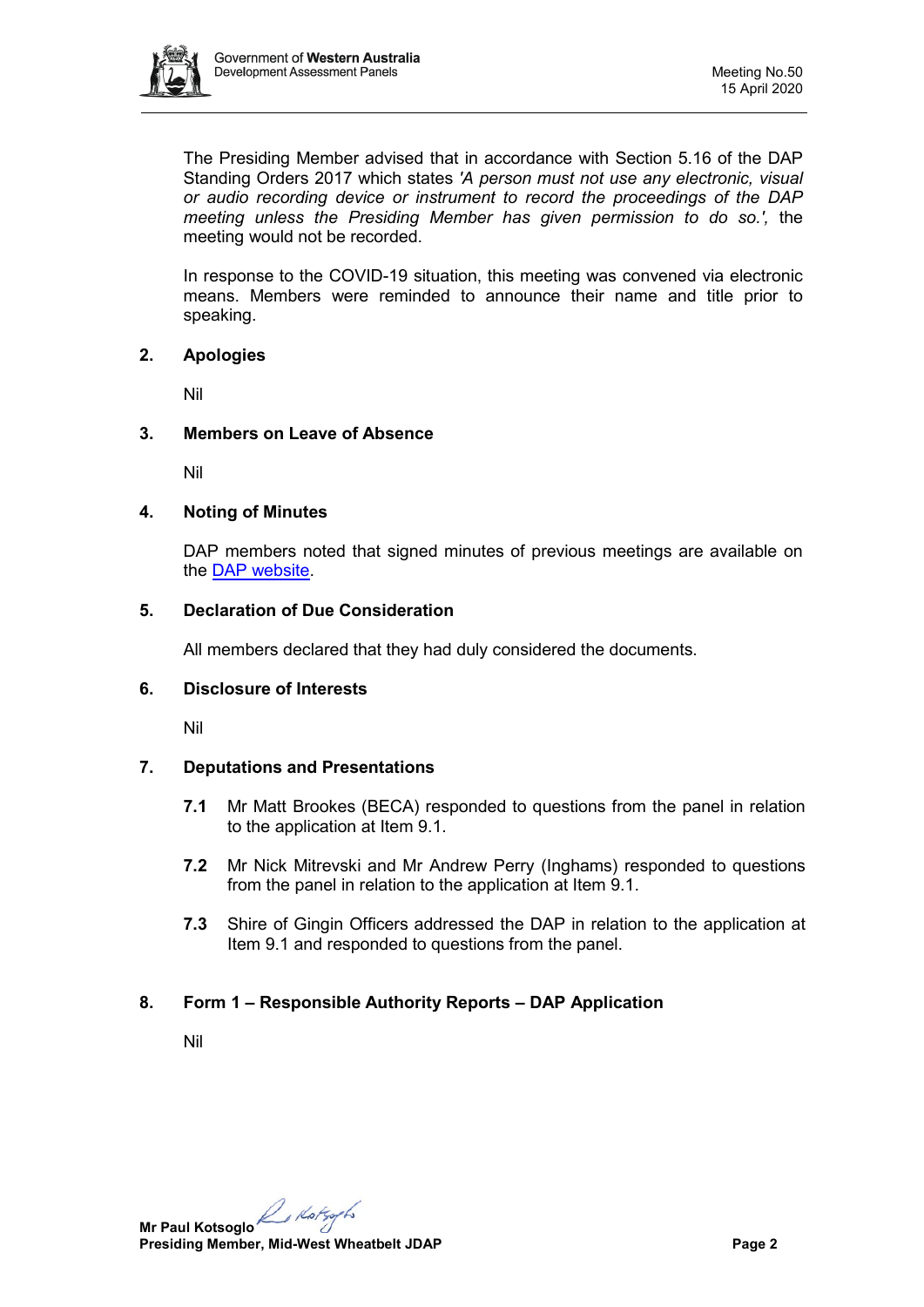

The Presiding Member advised that in accordance with Section 5.16 of the DAP Standing Orders 2017 which states *'A person must not use any electronic, visual or audio recording device or instrument to record the proceedings of the DAP meeting unless the Presiding Member has given permission to do so.',* the meeting would not be recorded.

In response to the COVID-19 situation, this meeting was convened via electronic means. Members were reminded to announce their name and title prior to speaking.

## **2. Apologies**

Nil

## **3. Members on Leave of Absence**

Nil

## **4. Noting of Minutes**

DAP members noted that signed minutes of previous meetings are available on the [DAP website.](https://www.dplh.wa.gov.au/about/development-assessment-panels/daps-agendas-and-minutes)

## **5. Declaration of Due Consideration**

All members declared that they had duly considered the documents.

## **6. Disclosure of Interests**

Nil

# **7. Deputations and Presentations**

- **7.1** Mr Matt Brookes (BECA) responded to questions from the panel in relation to the application at Item 9.1.
- **7.2** Mr Nick Mitrevski and Mr Andrew Perry (Inghams) responded to questions from the panel in relation to the application at Item 9.1.
- **7.3** Shire of Gingin Officers addressed the DAP in relation to the application at Item 9.1 and responded to questions from the panel.

# **8. Form 1 – Responsible Authority Reports – DAP Application**

Nil

**Mr Paul Kotsoglo**<br>Presiding the *Kotsoglo* **Presiding Member, Mid-West Wheatbelt JDAP Page 2**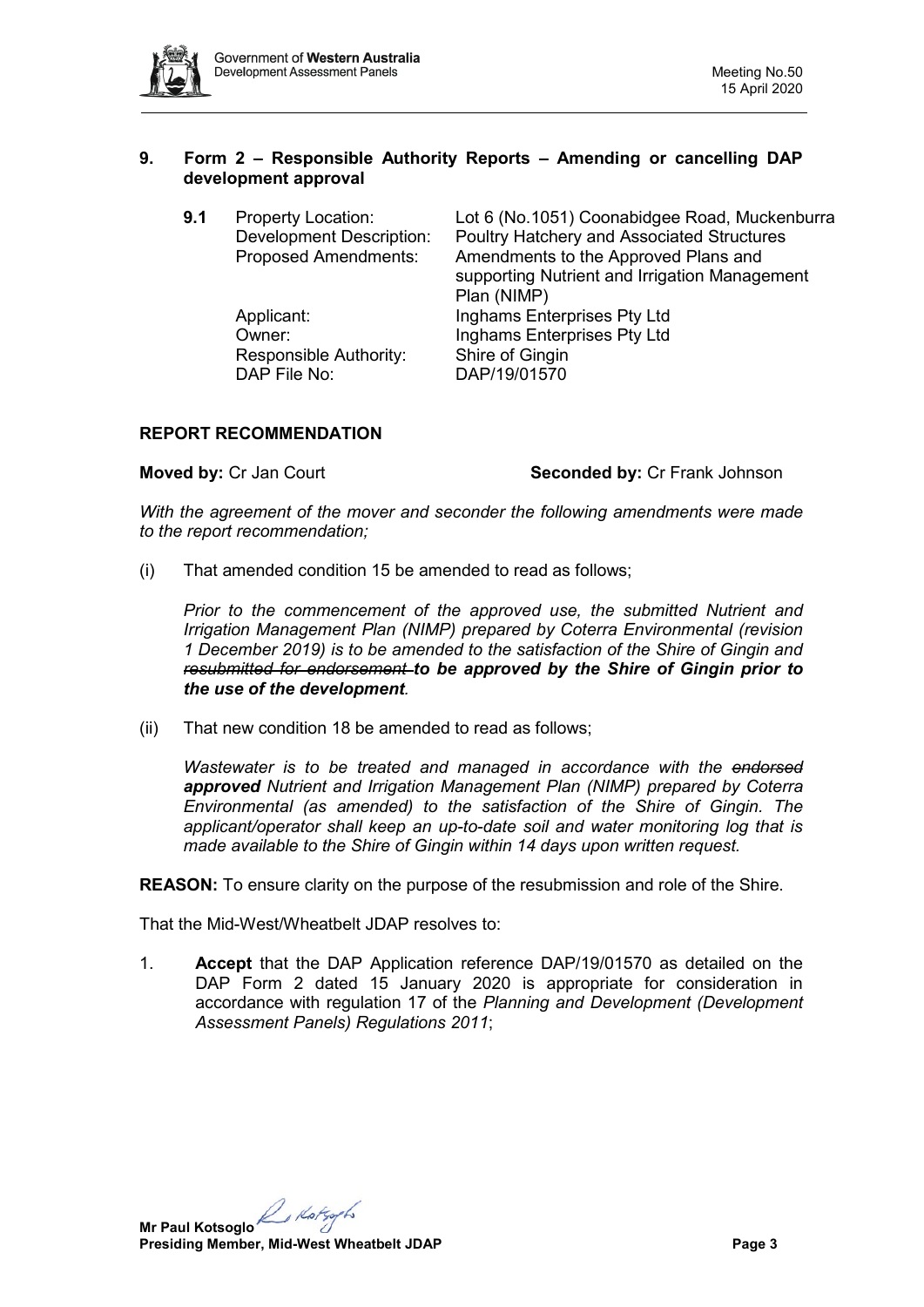

## **9. Form 2 – Responsible Authority Reports – Amending or cancelling DAP development approval**

| 9.1 | <b>Property Location:</b><br><b>Development Description:</b><br><b>Proposed Amendments:</b> | Lot 6 (No.1051) Coonabidgee Road, Muckenburra<br>Poultry Hatchery and Associated Structures<br>Amendments to the Approved Plans and<br>supporting Nutrient and Irrigation Management<br>Plan (NIMP) |
|-----|---------------------------------------------------------------------------------------------|-----------------------------------------------------------------------------------------------------------------------------------------------------------------------------------------------------|
|     | Applicant:<br>Owner:<br>Responsible Authority:<br>DAP File No:                              | Inghams Enterprises Pty Ltd<br>Inghams Enterprises Pty Ltd<br>Shire of Gingin<br>DAP/19/01570                                                                                                       |

# **REPORT RECOMMENDATION**

**Moved by:** Cr Jan Court **Seconded by:** Cr Frank Johnson

*With the agreement of the mover and seconder the following amendments were made to the report recommendation;*

(i) That amended condition 15 be amended to read as follows;

*Prior to the commencement of the approved use, the submitted Nutrient and Irrigation Management Plan (NIMP) prepared by Coterra Environmental (revision 1 December 2019) is to be amended to the satisfaction of the Shire of Gingin and resubmitted for endorsement to be approved by the Shire of Gingin prior to the use of the development.*

(ii) That new condition 18 be amended to read as follows;

*Wastewater is to be treated and managed in accordance with the endorsed approved Nutrient and Irrigation Management Plan (NIMP) prepared by Coterra Environmental (as amended) to the satisfaction of the Shire of Gingin. The applicant/operator shall keep an up-to-date soil and water monitoring log that is made available to the Shire of Gingin within 14 days upon written request.*

**REASON:** To ensure clarity on the purpose of the resubmission and role of the Shire.

That the Mid-West/Wheatbelt JDAP resolves to:

1. **Accept** that the DAP Application reference DAP/19/01570 as detailed on the DAP Form 2 dated 15 January 2020 is appropriate for consideration in accordance with regulation 17 of the *Planning and Development (Development Assessment Panels) Regulations 2011*;

**Mr Paul Kotsoglo**<br>Program **Presiding Member, Mid-West Wheatbelt JDAP Page 3**